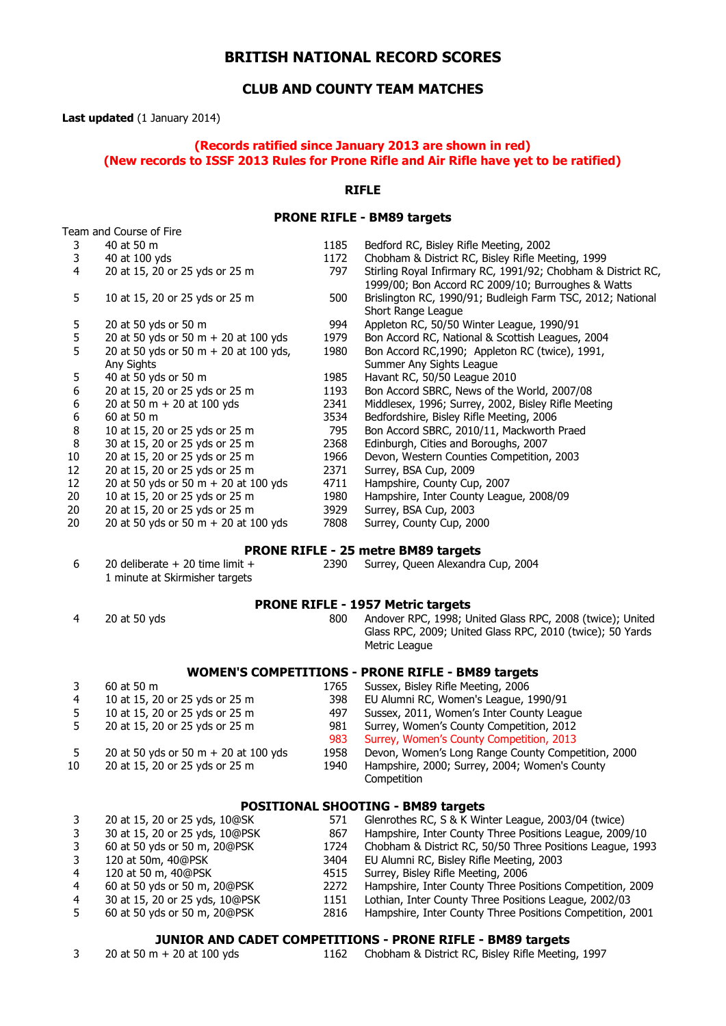# **BRITISH NATIONAL RECORD SCORES**

# **CLUB AND COUNTY TEAM MATCHES**

**Last updated** (1 January 2014)

## **(Records ratified since January 2013 are shown in red) (New records to ISSF 2013 Rules for Prone Rifle and Air Rifle have yet to be ratified)**

## **RIFLE**

## **PRONE RIFLE - BM89 targets**

| Team and Course of Fire |                                        |      |                                                                                                                    |
|-------------------------|----------------------------------------|------|--------------------------------------------------------------------------------------------------------------------|
| 3                       | 40 at 50 m                             | 1185 | Bedford RC, Bisley Rifle Meeting, 2002                                                                             |
| 3                       | 40 at 100 yds                          | 1172 | Chobham & District RC, Bisley Rifle Meeting, 1999                                                                  |
| 4                       | 20 at 15, 20 or 25 yds or 25 m         | 797  | Stirling Royal Infirmary RC, 1991/92; Chobham & District RC,<br>1999/00; Bon Accord RC 2009/10; Burroughes & Watts |
| 5                       | 10 at 15, 20 or 25 yds or 25 m         | 500  | Brislington RC, 1990/91; Budleigh Farm TSC, 2012; National<br>Short Range League                                   |
| 5                       | 20 at 50 yds or 50 m                   | 994  | Appleton RC, 50/50 Winter League, 1990/91                                                                          |
| 5                       | 20 at 50 yds or 50 m + 20 at 100 yds   | 1979 | Bon Accord RC, National & Scottish Leagues, 2004                                                                   |
| 5                       | 20 at 50 yds or 50 m + 20 at 100 yds,  | 1980 | Bon Accord RC,1990; Appleton RC (twice), 1991,                                                                     |
|                         | Any Sights                             |      | Summer Any Sights League                                                                                           |
| 5                       | 40 at 50 yds or 50 m                   | 1985 | Havant RC, 50/50 League 2010                                                                                       |
| 6                       | 20 at 15, 20 or 25 yds or 25 m         | 1193 | Bon Accord SBRC, News of the World, 2007/08                                                                        |
| 6                       | 20 at 50 m $+$ 20 at 100 yds           | 2341 | Middlesex, 1996; Surrey, 2002, Bisley Rifle Meeting                                                                |
| 6                       | 60 at 50 m                             | 3534 | Bedfordshire, Bisley Rifle Meeting, 2006                                                                           |
| 8                       | 10 at 15, 20 or 25 yds or 25 m         | 795  | Bon Accord SBRC, 2010/11, Mackworth Praed                                                                          |
| 8                       | 30 at 15, 20 or 25 yds or 25 m         | 2368 | Edinburgh, Cities and Boroughs, 2007                                                                               |
| 10                      | 20 at 15, 20 or 25 yds or 25 m         | 1966 | Devon, Western Counties Competition, 2003                                                                          |
| 12                      | 20 at 15, 20 or 25 yds or 25 m         | 2371 | Surrey, BSA Cup, 2009                                                                                              |
| 12                      | 20 at 50 yds or 50 m + 20 at 100 yds   | 4711 | Hampshire, County Cup, 2007                                                                                        |
| 20                      | 10 at 15, 20 or 25 yds or 25 m         | 1980 | Hampshire, Inter County League, 2008/09                                                                            |
| 20                      | 20 at 15, 20 or 25 yds or 25 m         | 3929 | Surrey, BSA Cup, 2003                                                                                              |
| 20                      | 20 at 50 yds or 50 m $+$ 20 at 100 yds | 7808 | Surrey, County Cup, 2000                                                                                           |
|                         |                                        |      |                                                                                                                    |

#### **PRONE RIFLE - 25 metre BM89 targets**

| 6 | 20 deliberate $+$ 20 time limit $+$ |  |  |  |  |
|---|-------------------------------------|--|--|--|--|
|   | 1 minute at Skirmisher targets      |  |  |  |  |

2390 Surrey, Queen Alexandra Cup, 2004

#### **PRONE RIFLE - 1957 Metric targets**

 20 at 50 yds 800 Andover RPC, 1998; United Glass RPC, 2008 (twice); United Glass RPC, 2009; United Glass RPC, 2010 (twice); 50 Yards Metric League

## **WOMEN'S COMPETITIONS - PRONE RIFLE - BM89 targets**

|     | 60 at 50 m                             | 1765 | Sussex, Bisley Rifle Meeting, 2006                 |
|-----|----------------------------------------|------|----------------------------------------------------|
| 4   | 10 at 15, 20 or 25 yds or 25 m         | 398  | EU Alumni RC, Women's League, 1990/91              |
| 5   | 10 at 15, 20 or 25 yds or 25 m         | 497  | Sussex, 2011, Women's Inter County League          |
|     | 20 at 15, 20 or 25 yds or 25 m         | 981  | Surrey, Women's County Competition, 2012           |
|     |                                        | 983  | Surrey, Women's County Competition, 2013           |
| - 5 | 20 at 50 yds or 50 m $+$ 20 at 100 yds | 1958 | Devon, Women's Long Range County Competition, 2000 |
| 10  | 20 at 15, 20 or 25 yds or 25 m         | 1940 | Hampshire, 2000; Surrey, 2004; Women's County      |
|     |                                        |      | Competition                                        |

## **POSITIONAL SHOOTING - BM89 targets**

|                | 20 at 15, 20 or 25 yds, 10@SK  | 571  | Glenrothes RC, S & K Winter League, 2003/04 (twice)       |
|----------------|--------------------------------|------|-----------------------------------------------------------|
|                | 30 at 15, 20 or 25 yds, 10@PSK | 867  | Hampshire, Inter County Three Positions League, 2009/10   |
|                | 60 at 50 yds or 50 m, 20@PSK   | 1724 | Chobham & District RC, 50/50 Three Positions League, 1993 |
|                | 120 at 50m, 40@PSK             | 3404 | EU Alumni RC, Bisley Rifle Meeting, 2003                  |
| 4              | 120 at 50 m, 40@PSK            | 4515 | Surrey, Bisley Rifle Meeting, 2006                        |
| -4             | 60 at 50 yds or 50 m, 20@PSK   | 2272 | Hampshire, Inter County Three Positions Competition, 2009 |
| $\overline{4}$ | 30 at 15, 20 or 25 yds, 10@PSK | 1151 | Lothian, Inter County Three Positions League, 2002/03     |
|                | 60 at 50 yds or 50 m, 20@PSK   | 2816 | Hampshire, Inter County Three Positions Competition, 2001 |

#### **JUNIOR AND CADET COMPETITIONS - PRONE RIFLE - BM89 targets**

| 20 at 50 m + 20 at 100 yds |  | 1162 Chobham & District RC, Bisley Rifle Meeting, 1997 |
|----------------------------|--|--------------------------------------------------------|